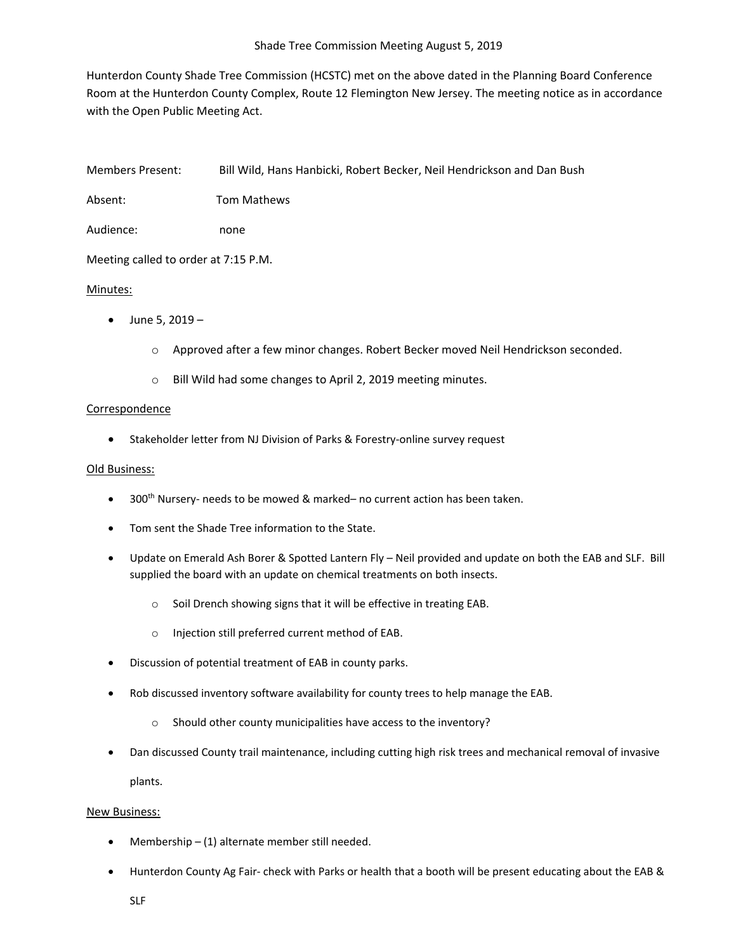Hunterdon County Shade Tree Commission (HCSTC) met on the above dated in the Planning Board Conference Room at the Hunterdon County Complex, Route 12 Flemington New Jersey. The meeting notice as in accordance with the Open Public Meeting Act.

Members Present: Bill Wild, Hans Hanbicki, Robert Becker, Neil Hendrickson and Dan Bush

Absent: Tom Mathews

Audience: none

Meeting called to order at 7:15 P.M.

## Minutes:

- June 5,  $2019$ 
	- o Approved after a few minor changes. Robert Becker moved Neil Hendrickson seconded.
	- o Bill Wild had some changes to April 2, 2019 meeting minutes.

## Correspondence

• Stakeholder letter from NJ Division of Parks & Forestry-online survey request

## Old Business:

- $\bullet$  300<sup>th</sup> Nursery- needs to be mowed & marked– no current action has been taken.
- Tom sent the Shade Tree information to the State.
- Update on Emerald Ash Borer & Spotted Lantern Fly Neil provided and update on both the EAB and SLF. Bill supplied the board with an update on chemical treatments on both insects.
	- o Soil Drench showing signs that it will be effective in treating EAB.
	- o Injection still preferred current method of EAB.
- Discussion of potential treatment of EAB in county parks.
- Rob discussed inventory software availability for county trees to help manage the EAB.
	- o Should other county municipalities have access to the inventory?
- Dan discussed County trail maintenance, including cutting high risk trees and mechanical removal of invasive plants.

## New Business:

- Membership (1) alternate member still needed.
- Hunterdon County Ag Fair- check with Parks or health that a booth will be present educating about the EAB &
	- SLF